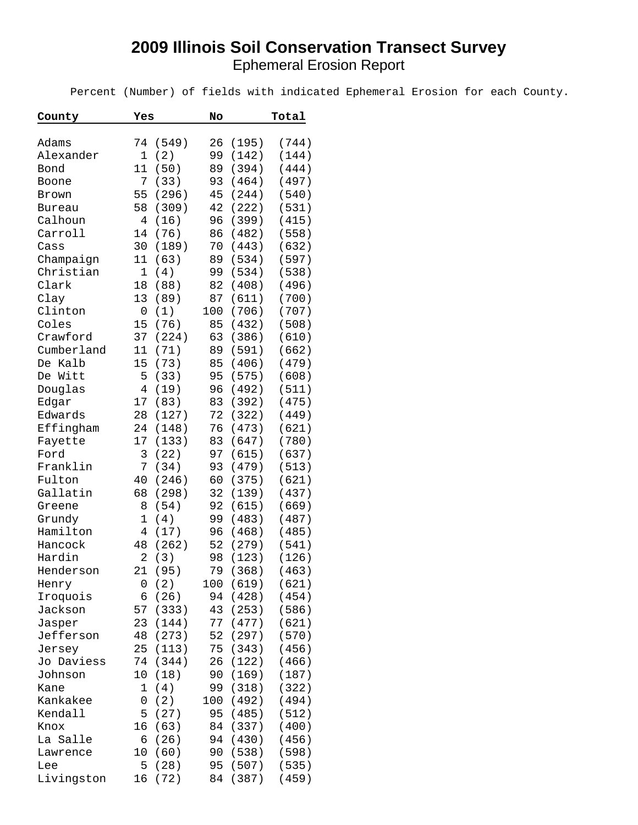## **2009 Illinois Soil Conservation Transect Survey** Ephemeral Erosion Report

Percent (Number) of fields with indicated Ephemeral Erosion for each County.

| County        | Yes |       | No  |       | Total |
|---------------|-----|-------|-----|-------|-------|
|               |     |       |     |       |       |
| Adams         | 74  | (549) | 26  | (195) | (744) |
| Alexander     | 1   | (2)   | 99  | (142) | (144) |
| Bond          | 11  | (50)  | 89  | (394) | (444) |
| Boone         | 7   | (33)  | 93  | (464) | (497) |
| Brown         | 55  | (296) | 45  | (244) | (540) |
| <b>Bureau</b> | 58  | (309) | 42  | (222) | (531) |
| Calhoun       | 4   | (16)  | 96  | (399) | (415) |
| Carroll       | 14  | (76)  | 86  | (482) | (558) |
| Cass          | 30  | (189) | 70  | (443) | (632) |
| Champaign     | 11  | (63)  | 89  | (534) | (597) |
| Christian     | 1   | (4)   | 99  | (534) | (538) |
| Clark         | 18  | (88)  | 82  | (408) | (496) |
| Clay          | 13  | (89)  | 87  | (611) | (700) |
| Clinton       | 0   | (1)   | 100 | (706) | (707) |
| Coles         | 15  | (76)  | 85  | (432) | (508) |
| Crawford      | 37  | (224) | 63  | (386) | (610) |
| Cumberland    | 11  | (71)  | 89  | (591) | (662) |
| De Kalb       | 15  | (73)  | 85  | (406) | (479) |
| De Witt       | 5   | (33)  | 95  | (575) | (608) |
| Douglas       | 4   | (19)  | 96  | (492) | (511) |
| Edgar         | 17  | (83)  | 83  | (392) | (475) |
| Edwards       | 28  | (127) | 72  | (322) | (449) |
| Effingham     | 24  | (148) | 76  | (473) | (621) |
| Fayette       | 17  | (133) | 83  | (647) | (780) |
| Ford          | 3   | (22)  | 97  | (615) | (637) |
| Franklin      | 7   | (34)  | 93  | (479) | (513) |
| Fulton        | 40  | (246) | 60  | (375) | (621) |
| Gallatin      | 68  | (298) | 32  | (139) | (437) |
| Greene        | 8   | (54)  | 92  | (615) | (669) |
| Grundy        | 1   | (4)   | 99  | (483) | (487) |
| Hamilton      | 4   | (17)  | 96  | (468) | (485) |
| Hancock       | 48  | (262) | 52  | (279) | (541) |
| Hardin        | 2   | (3)   | 98  | (123) | (126) |
| Henderson     | 21  | (95)  | 79  | (368) | (463) |
| Henry         | 0   | (2)   | 100 | (619) | (621) |
| Iroquois      | 6   | (26)  | 94  | (428) | (454) |
| Jackson       | 57  | (333) | 43  | (253) | (586) |
| Jasper        | 23  | (144) | 77  | (477) | (621) |
| Jefferson     | 48  | (273) | 52  | (297) | (570) |
| Jersey        | 25  | (113) | 75  | (343) | (456) |
| Jo Daviess    | 74  | (344) | 26  | (122) | (466) |
| Johnson       | 10  | (18)  | 90  | (169) | (187) |
| Kane          | 1   | (4)   | 99  | (318) | (322) |
| Kankakee      | 0   | (2)   | 100 | (492) | (494) |
| Kendall       | 5   | (27)  | 95  | (485) | (512) |
| Knox          | 16  | (63)  | 84  | (337) | (400) |
| La Salle      | 6   | (26)  | 94  | (430) | (456) |
| Lawrence      | 10  | (60)  | 90  | (538) | (598) |
| Lee           | 5   | (28)  | 95  | (507) | (535) |
| Livingston    | 16  | (72)  | 84  | (387) | (459) |
|               |     |       |     |       |       |